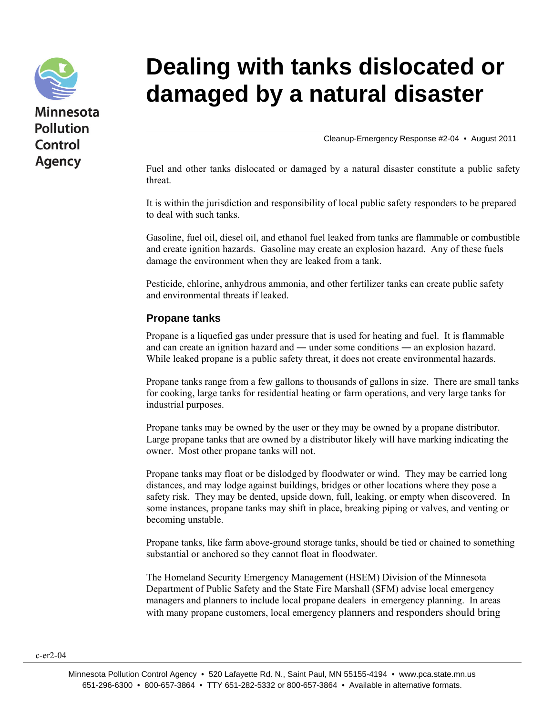

## **Dealing with tanks dislocated or damaged by a natural disaster**

Cleanup-Emergency Response #2-04 • August 2011

Fuel and other tanks dislocated or damaged by a natural disaster constitute a public safety threat.

It is within the jurisdiction and responsibility of local public safety responders to be prepared to deal with such tanks.

Gasoline, fuel oil, diesel oil, and ethanol fuel leaked from tanks are flammable or combustible and create ignition hazards. Gasoline may create an explosion hazard. Any of these fuels damage the environment when they are leaked from a tank.

Pesticide, chlorine, anhydrous ammonia, and other fertilizer tanks can create public safety and environmental threats if leaked.

## **Propane tanks**

Propane is a liquefied gas under pressure that is used for heating and fuel. It is flammable and can create an ignition hazard and ― under some conditions ― an explosion hazard. While leaked propane is a public safety threat, it does not create environmental hazards.

Propane tanks range from a few gallons to thousands of gallons in size. There are small tanks for cooking, large tanks for residential heating or farm operations, and very large tanks for industrial purposes.

Propane tanks may be owned by the user or they may be owned by a propane distributor. Large propane tanks that are owned by a distributor likely will have marking indicating the owner. Most other propane tanks will not.

Propane tanks may float or be dislodged by floodwater or wind. They may be carried long distances, and may lodge against buildings, bridges or other locations where they pose a safety risk. They may be dented, upside down, full, leaking, or empty when discovered. In some instances, propane tanks may shift in place, breaking piping or valves, and venting or becoming unstable.

Propane tanks, like farm above-ground storage tanks, should be tied or chained to something substantial or anchored so they cannot float in floodwater.

The Homeland Security Emergency Management (HSEM) Division of the Minnesota Department of Public Safety and the State Fire Marshall (SFM) advise local emergency managers and planners to include local propane dealers in emergency planning. In areas with many propane customers, local emergency planners and responders should bring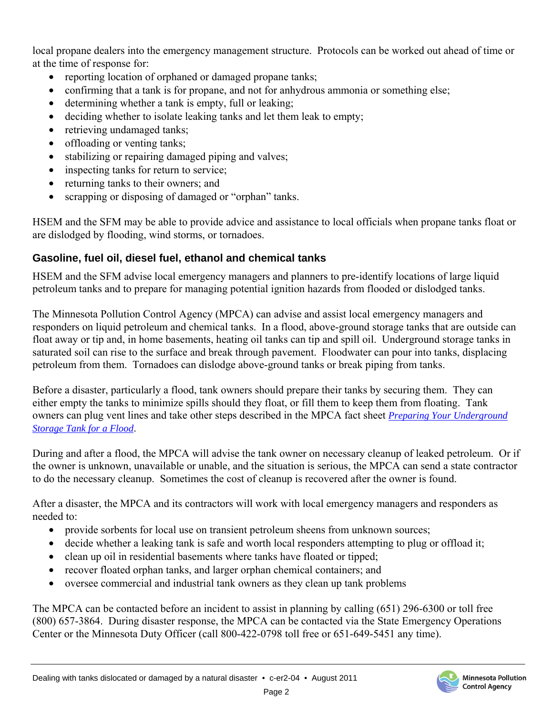local propane dealers into the emergency management structure. Protocols can be worked out ahead of time or at the time of response for:

- reporting location of orphaned or damaged propane tanks;
- confirming that a tank is for propane, and not for anhydrous ammonia or something else;
- determining whether a tank is empty, full or leaking;
- deciding whether to isolate leaking tanks and let them leak to empty;
- retrieving undamaged tanks;
- offloading or venting tanks;
- stabilizing or repairing damaged piping and valves;
- inspecting tanks for return to service;
- returning tanks to their owners; and
- scrapping or disposing of damaged or "orphan" tanks.

HSEM and the SFM may be able to provide advice and assistance to local officials when propane tanks float or are dislodged by flooding, wind storms, or tornadoes.

## **Gasoline, fuel oil, diesel fuel, ethanol and chemical tanks**

HSEM and the SFM advise local emergency managers and planners to pre-identify locations of large liquid petroleum tanks and to prepare for managing potential ignition hazards from flooded or dislodged tanks.

The Minnesota Pollution Control Agency (MPCA) can advise and assist local emergency managers and responders on liquid petroleum and chemical tanks. In a flood, above-ground storage tanks that are outside can float away or tip and, in home basements, heating oil tanks can tip and spill oil. Underground storage tanks in saturated soil can rise to the surface and break through pavement. Floodwater can pour into tanks, displacing petroleum from them. Tornadoes can dislodge above-ground tanks or break piping from tanks.

Before a disaster, particularly a flood, tank owners should prepare their tanks by securing them. They can either empty the tanks to minimize spills should they float, or fill them to keep them from floating. Tank [owners can plug vent lines and take other steps described in the MPCA fact sheet](http://www.pca.state.mn.us/index.php/view-document.html?gid=3095) *Preparing Your Underground Storage Tank for a Flood*.

During and after a flood, the MPCA will advise the tank owner on necessary cleanup of leaked petroleum. Or if the owner is unknown, unavailable or unable, and the situation is serious, the MPCA can send a state contractor to do the necessary cleanup. Sometimes the cost of cleanup is recovered after the owner is found.

After a disaster, the MPCA and its contractors will work with local emergency managers and responders as needed to:

- provide sorbents for local use on transient petroleum sheens from unknown sources;
- decide whether a leaking tank is safe and worth local responders attempting to plug or offload it;
- clean up oil in residential basements where tanks have floated or tipped;
- recover floated orphan tanks, and larger orphan chemical containers; and
- oversee commercial and industrial tank owners as they clean up tank problems

The MPCA can be contacted before an incident to assist in planning by calling (651) 296-6300 or toll free (800) 657-3864. During disaster response, the MPCA can be contacted via the State Emergency Operations Center or the Minnesota Duty Officer (call 800-422-0798 toll free or 651-649-5451 any time).